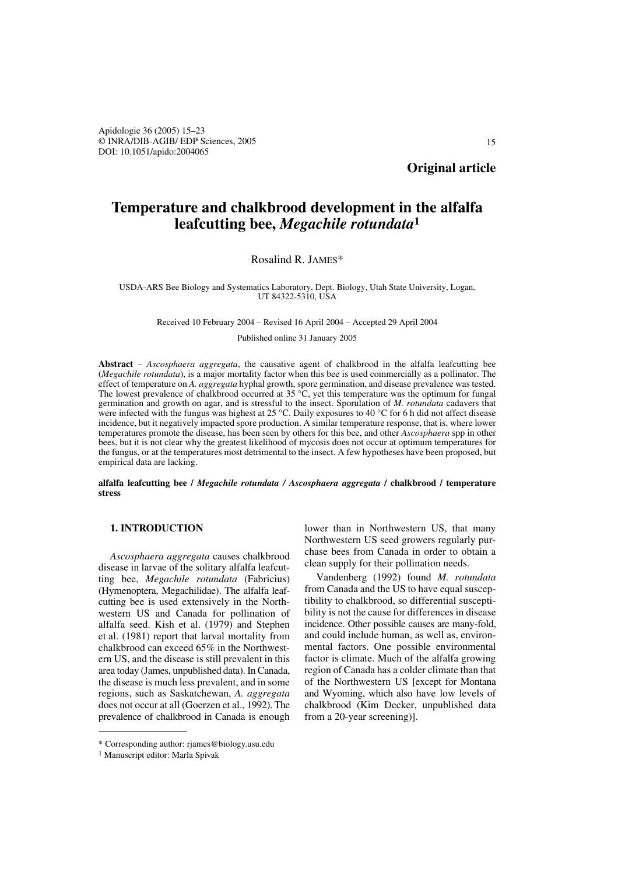**Original article**

# **Temperature and chalkbrood development in the alfalfa leafcutting bee,** *Megachile rotundata***<sup>1</sup>**

## Rosalind R. JAMES\*

USDA-ARS Bee Biology and Systematics Laboratory, Dept. Biology, Utah State University, Logan, UT 84322-5310, USA

Received 10 February 2004 – Revised 16 April 2004 – Accepted 29 April 2004

Published online 31 January 2005

**Abstract** *– Ascosphaera aggregata*, the causative agent of chalkbrood in the alfalfa leafcutting bee (*Megachile rotundata*), is a major mortality factor when this bee is used commercially as a pollinator. The effect of temperature on *A. aggregata* hyphal growth, spore germination, and disease prevalence was tested. The lowest prevalence of chalkbrood occurred at 35 °C, yet this temperature was the optimum for fungal germination and growth on agar, and is stressful to the insect. Sporulation of *M. rotundata* cadavers that were infected with the fungus was highest at 25 °C. Daily exposures to 40 °C for 6 h did not affect disease incidence, but it negatively impacted spore production. A similar temperature response, that is, where lower temperatures promote the disease, has been seen by others for this bee, and other *Ascosphaera* spp in other bees, but it is not clear why the greatest likelihood of mycosis does not occur at optimum temperatures for the fungus, or at the temperatures most detrimental to the insect. A few hypotheses have been proposed, but empirical data are lacking.

**alfalfa leafcutting bee /** *Megachile rotundata / Ascosphaera aggregata* **/ chalkbrood / temperature stress**

## **1. INTRODUCTION**

*Ascosphaera aggregata* causes chalkbrood disease in larvae of the solitary alfalfa leafcutting bee, *Megachile rotundata* (Fabricius) (Hymenoptera, Megachilidae). The alfalfa leafcutting bee is used extensively in the Northwestern US and Canada for pollination of alfalfa seed. Kish et al. (1979) and Stephen et al. (1981) report that larval mortality from chalkbrood can exceed 65% in the Northwestern US, and the disease is still prevalent in this area today (James, unpublished data). In Canada, the disease is much less prevalent, and in some regions, such as Saskatchewan, *A. aggregata* does not occur at all (Goerzen et al., 1992). The prevalence of chalkbrood in Canada is enough lower than in Northwestern US, that many Northwestern US seed growers regularly purchase bees from Canada in order to obtain a clean supply for their pollination needs.

Vandenberg (1992) found *M. rotundata* from Canada and the US to have equal susceptibility to chalkbrood, so differential susceptibility is not the cause for differences in disease incidence. Other possible causes are many-fold, and could include human, as well as, environmental factors. One possible environmental factor is climate. Much of the alfalfa growing region of Canada has a colder climate than that of the Northwestern US [except for Montana and Wyoming, which also have low levels of chalkbrood (Kim Decker, unpublished data from a 20-year screening)].

<sup>\*</sup> Corresponding author: rjames@biology.usu.edu

<sup>1</sup> Manuscript editor: Marla Spivak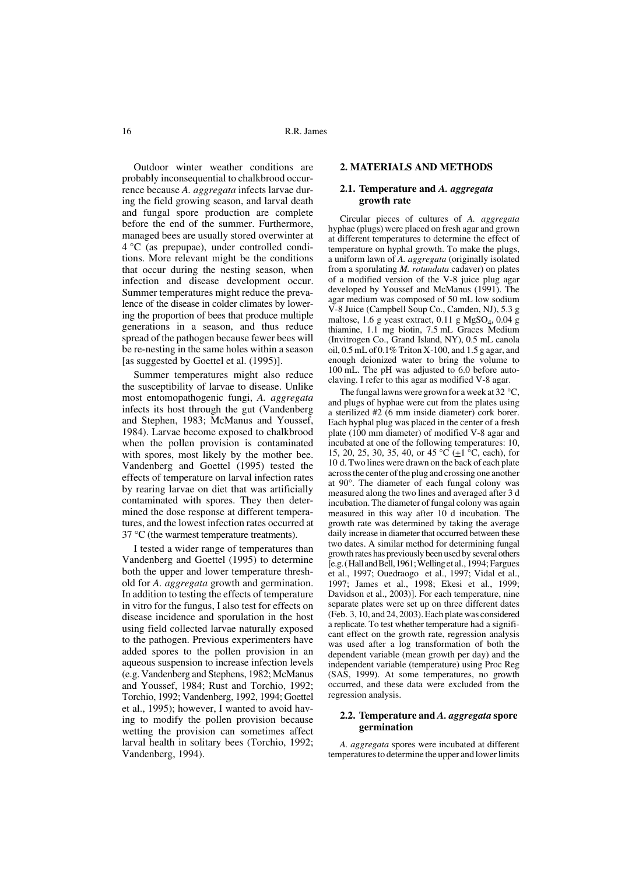16 R.R. James

Outdoor winter weather conditions are probably inconsequential to chalkbrood occurrence because *A. aggregata* infects larvae during the field growing season, and larval death and fungal spore production are complete before the end of the summer. Furthermore, managed bees are usually stored overwinter at 4 °C (as prepupae), under controlled conditions. More relevant might be the conditions that occur during the nesting season, when infection and disease development occur. Summer temperatures might reduce the prevalence of the disease in colder climates by lowering the proportion of bees that produce multiple generations in a season, and thus reduce spread of the pathogen because fewer bees will be re-nesting in the same holes within a season [as suggested by Goettel et al. (1995)].

Summer temperatures might also reduce the susceptibility of larvae to disease. Unlike most entomopathogenic fungi, *A. aggregata* infects its host through the gut (Vandenberg and Stephen, 1983; McManus and Youssef, 1984). Larvae become exposed to chalkbrood when the pollen provision is contaminated with spores, most likely by the mother bee. Vandenberg and Goettel (1995) tested the effects of temperature on larval infection rates by rearing larvae on diet that was artificially contaminated with spores. They then determined the dose response at different temperatures, and the lowest infection rates occurred at 37 °C (the warmest temperature treatments).

I tested a wider range of temperatures than Vandenberg and Goettel (1995) to determine both the upper and lower temperature threshold for *A. aggregata* growth and germination. In addition to testing the effects of temperature in vitro for the fungus, I also test for effects on disease incidence and sporulation in the host using field collected larvae naturally exposed to the pathogen. Previous experimenters have added spores to the pollen provision in an aqueous suspension to increase infection levels (e.g. Vandenberg and Stephens, 1982; McManus and Youssef, 1984; Rust and Torchio, 1992; Torchio, 1992; Vandenberg, 1992, 1994; Goettel et al., 1995); however, I wanted to avoid having to modify the pollen provision because wetting the provision can sometimes affect larval health in solitary bees (Torchio, 1992; Vandenberg, 1994).

# **2. MATERIALS AND METHODS**

## **2.1. Temperature and** *A. aggregata* **growth rate**

Circular pieces of cultures of *A. aggregata* hyphae (plugs) were placed on fresh agar and grown at different temperatures to determine the effect of temperature on hyphal growth. To make the plugs, a uniform lawn of *A. aggregata* (originally isolated from a sporulating *M. rotundata* cadaver) on plates of a modified version of the V-8 juice plug agar developed by Youssef and McManus (1991). The agar medium was composed of 50 mL low sodium V-8 Juice (Campbell Soup Co., Camden, NJ), 5.3 g maltose, 1.6 g yeast extract,  $0.11$  g MgSO<sub>4</sub>,  $0.04$  g thiamine, 1.1 mg biotin, 7.5 mL Graces Medium (Invitrogen Co., Grand Island, NY), 0.5 mL canola oil, 0.5 mL of 0.1% Triton X-100, and 1.5 g agar, and enough deionized water to bring the volume to 100 mL. The pH was adjusted to 6.0 before autoclaving. I refer to this agar as modified V-8 agar.

The fungal lawns were grown for a week at 32 °C, and plugs of hyphae were cut from the plates using a sterilized #2 (6 mm inside diameter) cork borer. Each hyphal plug was placed in the center of a fresh plate (100 mm diameter) of modified V-8 agar and incubated at one of the following temperatures: 10, 15, 20, 25, 30, 35, 40, or 45  $\rm{°C}$  ( $\pm 1$   $\rm{°C}$ , each), for 10 d. Two lines were drawn on the back of each plate across the center of the plug and crossing one another at 90°. The diameter of each fungal colony was measured along the two lines and averaged after 3 d incubation. The diameter of fungal colony was again measured in this way after 10 d incubation. The growth rate was determined by taking the average daily increase in diameter that occurred between these two dates. A similar method for determining fungal growth rates has previously been used by several others [e.g. ( Hall and Bell, 1961; Welling et al., 1994; Fargues et al., 1997; Ouedraogo et al., 1997; Vidal et al., 1997; James et al., 1998; Ekesi et al., 1999; Davidson et al., 2003)]. For each temperature, nine separate plates were set up on three different dates (Feb. 3, 10, and 24, 2003). Each plate was considered a replicate. To test whether temperature had a significant effect on the growth rate, regression analysis was used after a log transformation of both the dependent variable (mean growth per day) and the independent variable (temperature) using Proc Reg (SAS, 1999). At some temperatures, no growth occurred, and these data were excluded from the regression analysis.

#### **2.2. Temperature and** *A. aggregata* **spore germination**

*A. aggregata* spores were incubated at different temperatures to determine the upper and lower limits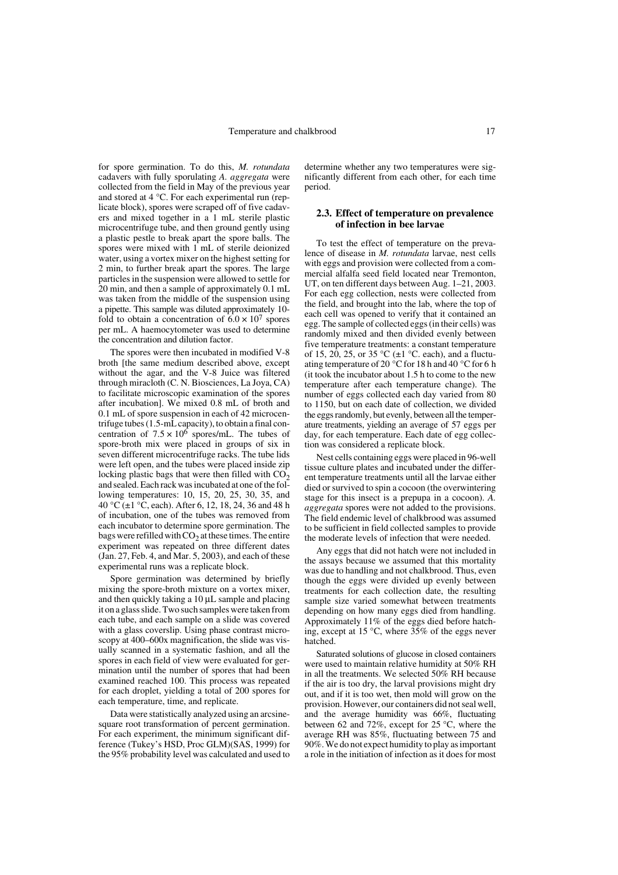for spore germination. To do this, *M. rotundata* cadavers with fully sporulating *A. aggregata* were collected from the field in May of the previous year and stored at 4 °C. For each experimental run (replicate block), spores were scraped off of five cadavers and mixed together in a 1 mL sterile plastic microcentrifuge tube, and then ground gently using a plastic pestle to break apart the spore balls. The spores were mixed with 1 mL of sterile deionized water, using a vortex mixer on the highest setting for 2 min, to further break apart the spores. The large particles in the suspension were allowed to settle for 20 min, and then a sample of approximately 0.1 mL was taken from the middle of the suspension using a pipette. This sample was diluted approximately 10 fold to obtain a concentration of  $6.0 \times 10^7$  spores per mL. A haemocytometer was used to determine the concentration and dilution factor.

The spores were then incubated in modified V-8 broth [the same medium described above, except without the agar, and the V-8 Juice was filtered through miracloth (C. N. Biosciences, La Joya, CA) to facilitate microscopic examination of the spores after incubation]. We mixed 0.8 mL of broth and 0.1 mL of spore suspension in each of 42 microcentrifuge tubes (1.5-mL capacity), to obtain a final concentration of  $7.5 \times 10^6$  spores/mL. The tubes of spore-broth mix were placed in groups of six in seven different microcentrifuge racks. The tube lids were left open, and the tubes were placed inside zip locking plastic bags that were then filled with  $CO<sub>2</sub>$ and sealed. Each rack was incubated at one of the following temperatures: 10, 15, 20, 25, 30, 35, and 40 °C ( $\pm$ 1 °C, each). After 6, 12, 18, 24, 36 and 48 h of incubation, one of the tubes was removed from each incubator to determine spore germination. The bags were refilled with  $CO<sub>2</sub>$  at these times. The entire experiment was repeated on three different dates (Jan. 27, Feb. 4, and Mar. 5, 2003), and each of these experimental runs was a replicate block.

Spore germination was determined by briefly mixing the spore-broth mixture on a vortex mixer, and then quickly taking a 10 µL sample and placing it on a glass slide. Two such samples were taken from each tube, and each sample on a slide was covered with a glass coverslip. Using phase contrast microscopy at 400–600x magnification, the slide was visually scanned in a systematic fashion, and all the spores in each field of view were evaluated for germination until the number of spores that had been examined reached 100. This process was repeated for each droplet, yielding a total of 200 spores for each temperature, time, and replicate.

Data were statistically analyzed using an arcsinesquare root transformation of percent germination. For each experiment, the minimum significant difference (Tukey's HSD, Proc GLM)(SAS, 1999) for the 95% probability level was calculated and used to determine whether any two temperatures were significantly different from each other, for each time period.

## **2.3. Effect of temperature on prevalence of infection in bee larvae**

To test the effect of temperature on the prevalence of disease in *M. rotundata* larvae, nest cells with eggs and provision were collected from a commercial alfalfa seed field located near Tremonton, UT, on ten different days between Aug. 1–21, 2003. For each egg collection, nests were collected from the field, and brought into the lab, where the top of each cell was opened to verify that it contained an egg. The sample of collected eggs (in their cells) was randomly mixed and then divided evenly between five temperature treatments: a constant temperature of 15, 20, 25, or 35 °C ( $\pm$ 1 °C. each), and a fluctuating temperature of 20 °C for 18 h and 40 °C for 6 h (it took the incubator about 1.5 h to come to the new temperature after each temperature change). The number of eggs collected each day varied from 80 to 1150, but on each date of collection, we divided the eggs randomly, but evenly, between all the temperature treatments, yielding an average of 57 eggs per day, for each temperature. Each date of egg collection was considered a replicate block.

Nest cells containing eggs were placed in 96-well tissue culture plates and incubated under the different temperature treatments until all the larvae either died or survived to spin a cocoon (the overwintering stage for this insect is a prepupa in a cocoon). *A. aggregata* spores were not added to the provisions. The field endemic level of chalkbrood was assumed to be sufficient in field collected samples to provide the moderate levels of infection that were needed.

Any eggs that did not hatch were not included in the assays because we assumed that this mortality was due to handling and not chalkbrood. Thus, even though the eggs were divided up evenly between treatments for each collection date, the resulting sample size varied somewhat between treatments depending on how many eggs died from handling. Approximately 11% of the eggs died before hatching, except at 15 °C, where 35% of the eggs never hatched.

Saturated solutions of glucose in closed containers were used to maintain relative humidity at 50% RH in all the treatments. We selected 50% RH because if the air is too dry, the larval provisions might dry out, and if it is too wet, then mold will grow on the provision. However, our containers did not seal well, and the average humidity was 66%, fluctuating between 62 and 72%, except for 25 °C, where the average RH was 85%, fluctuating between 75 and 90%. We do not expect humidity to play as important a role in the initiation of infection as it does for most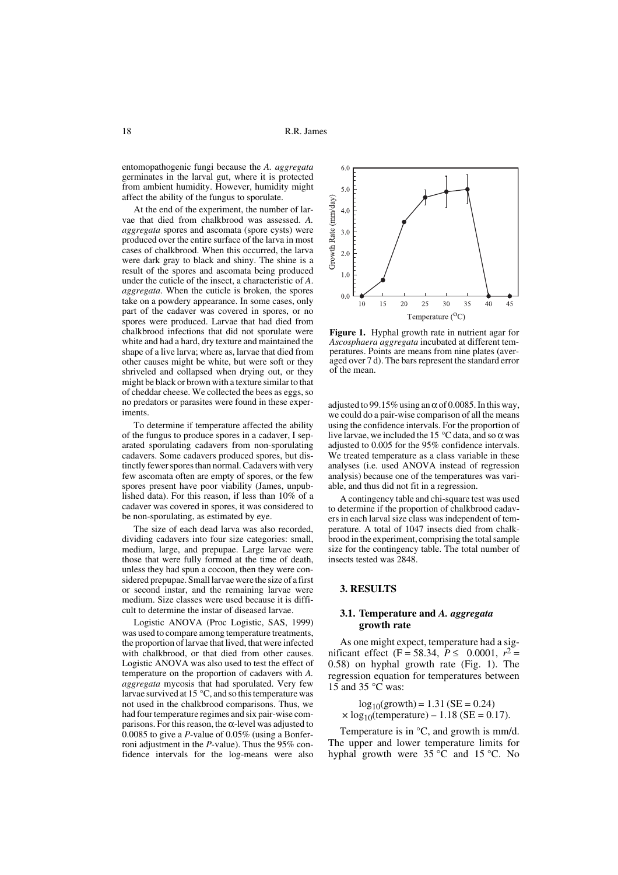entomopathogenic fungi because the *A. aggregata* germinates in the larval gut, where it is protected from ambient humidity. However, humidity might affect the ability of the fungus to sporulate.

At the end of the experiment, the number of larvae that died from chalkbrood was assessed. *A. aggregata* spores and ascomata (spore cysts) were produced over the entire surface of the larva in most cases of chalkbrood. When this occurred, the larva were dark gray to black and shiny. The shine is a result of the spores and ascomata being produced under the cuticle of the insect, a characteristic of *A*. *aggregata*. When the cuticle is broken, the spores take on a powdery appearance. In some cases, only part of the cadaver was covered in spores, or no spores were produced. Larvae that had died from chalkbrood infections that did not sporulate were white and had a hard, dry texture and maintained the shape of a live larva; where as, larvae that died from other causes might be white, but were soft or they shriveled and collapsed when drying out, or they might be black or brown with a texture similar to that of cheddar cheese. We collected the bees as eggs, so no predators or parasites were found in these experiments.

To determine if temperature affected the ability of the fungus to produce spores in a cadaver, I separated sporulating cadavers from non-sporulating cadavers. Some cadavers produced spores, but distinctly fewer spores than normal. Cadavers with very few ascomata often are empty of spores, or the few spores present have poor viability (James, unpublished data). For this reason, if less than 10% of a cadaver was covered in spores, it was considered to be non-sporulating, as estimated by eye.

The size of each dead larva was also recorded, dividing cadavers into four size categories: small, medium, large, and prepupae. Large larvae were those that were fully formed at the time of death, unless they had spun a cocoon, then they were considered prepupae. Small larvae were the size of a first or second instar, and the remaining larvae were medium. Size classes were used because it is difficult to determine the instar of diseased larvae.

Logistic ANOVA (Proc Logistic, SAS, 1999) was used to compare among temperature treatments, the proportion of larvae that lived, that were infected with chalkbrood, or that died from other causes. Logistic ANOVA was also used to test the effect of temperature on the proportion of cadavers with *A. aggregata* mycosis that had sporulated. Very few larvae survived at 15 °C, and so this temperature was not used in the chalkbrood comparisons. Thus, we had four temperature regimes and six pair-wise comparisons. For this reason, the α-level was adjusted to  $0.0085$  to give a *P*-value of  $0.05\%$  (using a Bonferroni adjustment in the *P*-value). Thus the 95% confidence intervals for the log-means were also



**Figure 1.** Hyphal growth rate in nutrient agar for *Ascosphaera aggregata* incubated at different temperatures. Points are means from nine plates (averaged over 7 d). The bars represent the standard error of the mean.

adjusted to 99.15% using an  $\alpha$  of 0.0085. In this way, we could do a pair-wise comparison of all the means using the confidence intervals. For the proportion of live larvae, we included the 15  $\degree$ C data, and so  $\alpha$  was adjusted to 0.005 for the 95% confidence intervals. We treated temperature as a class variable in these analyses (i.e. used ANOVA instead of regression analysis) because one of the temperatures was variable, and thus did not fit in a regression.

A contingency table and chi-square test was used to determine if the proportion of chalkbrood cadavers in each larval size class was independent of temperature. A total of 1047 insects died from chalkbrood in the experiment, comprising the total sample size for the contingency table. The total number of insects tested was 2848.

## **3. RESULTS**

#### **3.1. Temperature and** *A. aggregata* **growth rate**

As one might expect, temperature had a significant effect (F = 58.34,  $P \le 0.0001$ ,  $r^2 =$ 0.58) on hyphal growth rate (Fig. 1). The regression equation for temperatures between  $15$  and  $35^{\circ}$ C was:

 $log_{10}(growth) = 1.31$  (SE = 0.24)  $\times$  log<sub>10</sub>(temperature) – 1.18 (SE = 0.17).

Temperature is in °C, and growth is mm/d. The upper and lower temperature limits for hyphal growth were 35 °C and 15 °C. No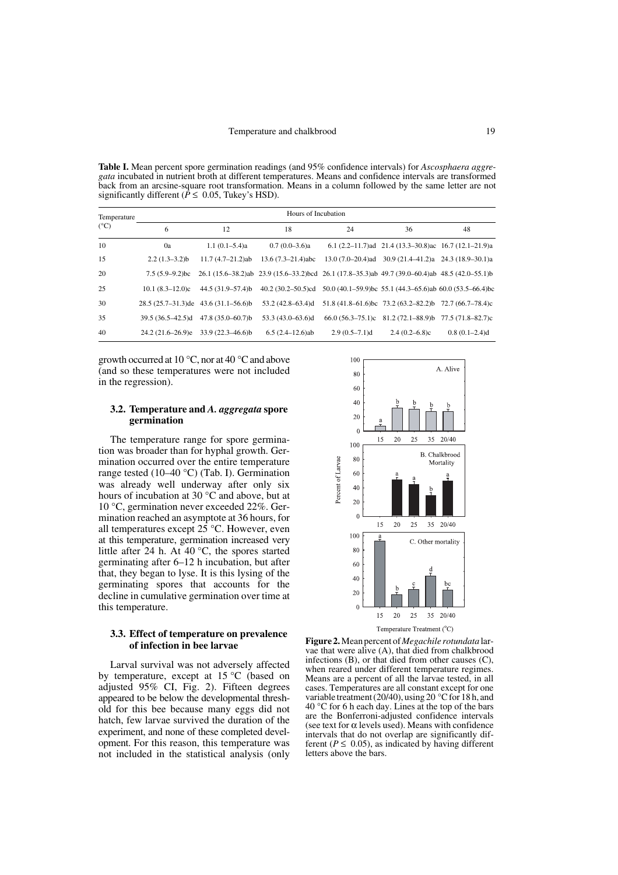**Table I.** Mean percent spore germination readings (and 95% confidence intervals) for *Ascosphaera aggregata* incubated in nutrient broth at different temperatures. Means and confidence intervals are transformed back from an arcsine-square root transformation. Means in a column followed by the same letter are not significantly different ( $\hat{P} \le 0.05$ , Tukey's HSD).

| Temperature<br>$(^{\circ}C)$ | Hours of Incubation                    |                                       |                                                                                                |                 |                                                                |                 |  |
|------------------------------|----------------------------------------|---------------------------------------|------------------------------------------------------------------------------------------------|-----------------|----------------------------------------------------------------|-----------------|--|
|                              | 6                                      | 12                                    | 18                                                                                             | 24              | 36                                                             | 48              |  |
| 10                           | 0a                                     | $1.1(0.1-5.4)a$                       | $0.7(0.0-3.6)a$                                                                                |                 | 6.1 $(2.2-11.7)$ ad 21.4 $(13.3-30.8)$ ac 16.7 $(12.1-21.9)$ a |                 |  |
| 15                           | $2.2(1.3-3.2)b$                        | $11.7 (4.7 - 21.2)$ ab                | $13.6(7.3-21.4)abc$                                                                            |                 | $13.0 (7.0-20.4)$ ad $30.9 (21.4-41.2)$ a $24.3 (18.9-30.1)$ a |                 |  |
| 20                           | $7.5(5.9-9.2)$ bc                      |                                       | 26.1 (15.6–38.2)ab 23.9 (15.6–33.2)bcd 26.1 (17.8–35.3)ab 49.7 (39.0–60.4)ab 48.5 (42.0–55.1)b |                 |                                                                |                 |  |
| 25                           | $10.1 (8.3 - 12.0)c$                   | $44.5(31.9 - 57.4)$ b                 | 40.2 (30.2–50.5)cd 50.0 (40.1–59.9)bc 55.1 (44.3–65.6)ab 60.0 (53.5–66.4)bc                    |                 |                                                                |                 |  |
| 30                           | $28.5(25.7-31.3)$ de 43.6 (31.1-56.6)b |                                       | 53.2 (42.8-63.4)d                                                                              |                 | 51.8 (41.8–61.6)bc 73.2 (63.2–82.2)b 72.7 (66.7–78.4)c         |                 |  |
| 35                           |                                        | 39.5 (36.5–42.5)d 47.8 (35.0–60.7)b   | $53.3(43.0 - 63.6)d$                                                                           |                 | $66.0 (56.3-75.1)c$ 81.2 (72.1-88.9)b 77.5 (71.8-82.7)c        |                 |  |
| 40                           |                                        | $24.2(21.6-26.9)e$ $33.9(22.3-46.6)b$ | $6.5(2.4-12.6)$ ab                                                                             | $2.9(0.5-7.1)d$ | $2.4(0.2-6.8)c$                                                | $0.8(0.1-2.4)d$ |  |

growth occurred at 10 °C, nor at 40 °C and above (and so these temperatures were not included in the regression).

## **3.2. Temperature and** *A. aggregata* **spore germination**

The temperature range for spore germination was broader than for hyphal growth. Germination occurred over the entire temperature range tested (10–40 °C) (Tab. I). Germination was already well underway after only six hours of incubation at 30 °C and above, but at 10 °C, germination never exceeded 22%. Germination reached an asymptote at 36 hours, for all temperatures except  $25^{\circ}$ C. However, even at this temperature, germination increased very little after 24 h. At 40 °C, the spores started germinating after 6–12 h incubation, but after that, they began to lyse. It is this lysing of the germinating spores that accounts for the decline in cumulative germination over time at this temperature.

## **3.3. Effect of temperature on prevalence of infection in bee larvae**

Larval survival was not adversely affected by temperature, except at 15 °C (based on adjusted 95% CI, Fig. 2). Fifteen degrees appeared to be below the developmental threshold for this bee because many eggs did not hatch, few larvae survived the duration of the experiment, and none of these completed development. For this reason, this temperature was not included in the statistical analysis (only



**Figure 2.** Mean percent of *Megachile rotundata* larvae that were alive (A), that died from chalkbrood infections (B), or that died from other causes (C), when reared under different temperature regimes. Means are a percent of all the larvae tested, in all cases. Temperatures are all constant except for one variable treatment (20/40), using 20  $^{\circ}$ C for 18 h, and 40 °C for 6 h each day. Lines at the top of the bars are the Bonferroni-adjusted confidence intervals (see text for  $\alpha$  levels used). Means with confidence intervals that do not overlap are significantly different ( $P \leq 0.05$ ), as indicated by having different letters above the bars.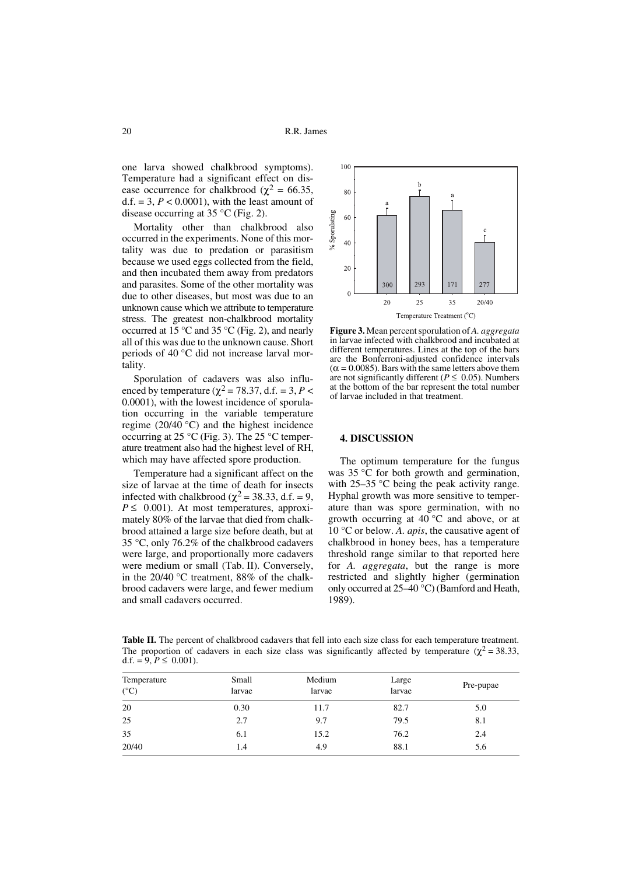one larva showed chalkbrood symptoms). Temperature had a significant effect on disease occurrence for chalkbrood ( $\chi^2$  = 66.35, d.f. = 3,  $P < 0.0001$ ), with the least amount of disease occurring at 35  $\mathrm{^{\circ}C}$  (Fig. 2).

Mortality other than chalkbrood also occurred in the experiments. None of this mortality was due to predation or parasitism because we used eggs collected from the field, and then incubated them away from predators and parasites. Some of the other mortality was due to other diseases, but most was due to an unknown cause which we attribute to temperature stress. The greatest non-chalkbrood mortality occurred at 15 °C and 35 °C (Fig. 2), and nearly all of this was due to the unknown cause. Short periods of 40 °C did not increase larval mortality.

Sporulation of cadavers was also influenced by temperature ( $\chi^2$  = 78.37, d.f. = 3, *P* < 0.0001), with the lowest incidence of sporulation occurring in the variable temperature regime (20/40 °C) and the highest incidence occurring at 25 °C (Fig. 3). The 25 °C temperature treatment also had the highest level of RH, which may have affected spore production.

Temperature had a significant affect on the size of larvae at the time of death for insects infected with chalkbrood ( $\chi^2$  = 38.33, d.f. = 9,  $P \leq 0.001$ ). At most temperatures, approximately 80% of the larvae that died from chalkbrood attained a large size before death, but at 35 °C, only 76.2% of the chalkbrood cadavers were large, and proportionally more cadavers were medium or small (Tab. II). Conversely, in the 20/40 °C treatment, 88% of the chalkbrood cadavers were large, and fewer medium and small cadavers occurred.



**Figure 3.** Mean percent sporulation of *A. aggregata* in larvae infected with chalkbrood and incubated at different temperatures. Lines at the top of the bars are the Bonferroni-adjusted confidence intervals  $(\alpha = 0.0085)$ . Bars with the same letters above them are not significantly different ( $P \le 0.05$ ). Numbers at the bottom of the bar represent the total number of larvae included in that treatment.

# **4. DISCUSSION**

The optimum temperature for the fungus was 35 °C for both growth and germination, with 25–35 °C being the peak activity range. Hyphal growth was more sensitive to temperature than was spore germination, with no growth occurring at 40 °C and above, or at 10 °C or below. *A. apis*, the causative agent of chalkbrood in honey bees, has a temperature threshold range similar to that reported here for *A. aggregata*, but the range is more restricted and slightly higher (germination only occurred at 25–40 °C) (Bamford and Heath, 1989).

Table II. The percent of chalkbrood cadavers that fell into each size class for each temperature treatment. The proportion of cadavers in each size class was significantly affected by temperature ( $\chi^2$  = 38.33, d.f. =  $9, P \le 0.001$ ).

| Temperature<br>$(^{\circ}C)$ | Small<br>larvae | Medium<br>larvae | Large<br>larvae | Pre-pupae |
|------------------------------|-----------------|------------------|-----------------|-----------|
| 20                           | 0.30            | 11.7             | 82.7            | 5.0       |
| 25                           | 2.7             | 9.7              | 79.5            | 8.1       |
| 35                           | 6.1             | 15.2             | 76.2            | 2.4       |
| 20/40                        | 1.4             | 4.9              | 88.1            | 5.6       |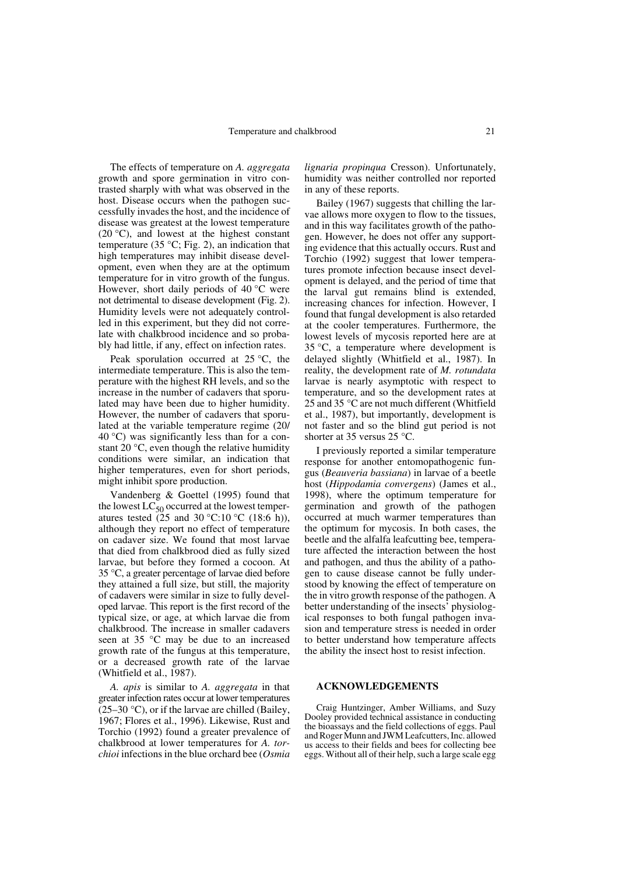The effects of temperature on *A. aggregata* growth and spore germination in vitro contrasted sharply with what was observed in the host. Disease occurs when the pathogen successfully invades the host, and the incidence of disease was greatest at the lowest temperature (20 $\degree$ C), and lowest at the highest constant temperature (35 °C; Fig. 2), an indication that high temperatures may inhibit disease development, even when they are at the optimum temperature for in vitro growth of the fungus. However, short daily periods of 40 °C were not detrimental to disease development (Fig. 2). Humidity levels were not adequately controlled in this experiment, but they did not correlate with chalkbrood incidence and so probably had little, if any, effect on infection rates.

Peak sporulation occurred at 25 °C, the intermediate temperature. This is also the temperature with the highest RH levels, and so the increase in the number of cadavers that sporulated may have been due to higher humidity. However, the number of cadavers that sporulated at the variable temperature regime (20/  $40^{\circ}$ C) was significantly less than for a constant 20 °C, even though the relative humidity conditions were similar, an indication that higher temperatures, even for short periods, might inhibit spore production.

Vandenberg & Goettel (1995) found that the lowest  $LC_{50}$  occurred at the lowest temperatures tested  $(25 \text{ and } 30 \degree \text{C}:10 \degree \text{C}$  (18:6 h)), although they report no effect of temperature on cadaver size. We found that most larvae that died from chalkbrood died as fully sized larvae, but before they formed a cocoon. At 35 °C, a greater percentage of larvae died before they attained a full size, but still, the majority of cadavers were similar in size to fully developed larvae. This report is the first record of the typical size, or age, at which larvae die from chalkbrood. The increase in smaller cadavers seen at 35 °C may be due to an increased growth rate of the fungus at this temperature, or a decreased growth rate of the larvae (Whitfield et al., 1987).

*A. apis* is similar to *A. aggregata* in that greater infection rates occur at lower temperatures  $(25-30 \degree C)$ , or if the larvae are chilled (Bailey, 1967; Flores et al., 1996). Likewise, Rust and Torchio (1992) found a greater prevalence of chalkbrood at lower temperatures for *A. torchioi* infections in the blue orchard bee (*Osmia*

*lignaria propinqua* Cresson). Unfortunately, humidity was neither controlled nor reported in any of these reports.

Bailey (1967) suggests that chilling the larvae allows more oxygen to flow to the tissues, and in this way facilitates growth of the pathogen. However, he does not offer any supporting evidence that this actually occurs. Rust and Torchio (1992) suggest that lower temperatures promote infection because insect development is delayed, and the period of time that the larval gut remains blind is extended, increasing chances for infection. However, I found that fungal development is also retarded at the cooler temperatures. Furthermore, the lowest levels of mycosis reported here are at 35 °C, a temperature where development is delayed slightly (Whitfield et al., 1987). In reality, the development rate of *M. rotundata* larvae is nearly asymptotic with respect to temperature, and so the development rates at 25 and 35 °C are not much different (Whitfield et al., 1987), but importantly, development is not faster and so the blind gut period is not shorter at 35 versus 25 °C.

I previously reported a similar temperature response for another entomopathogenic fungus (*Beauveria bassiana*) in larvae of a beetle host (*Hippodamia convergens*) (James et al., 1998), where the optimum temperature for germination and growth of the pathogen occurred at much warmer temperatures than the optimum for mycosis. In both cases, the beetle and the alfalfa leafcutting bee, temperature affected the interaction between the host and pathogen, and thus the ability of a pathogen to cause disease cannot be fully understood by knowing the effect of temperature on the in vitro growth response of the pathogen. A better understanding of the insects' physiological responses to both fungal pathogen invasion and temperature stress is needed in order to better understand how temperature affects the ability the insect host to resist infection.

#### **ACKNOWLEDGEMENTS**

Craig Huntzinger, Amber Williams, and Suzy Dooley provided technical assistance in conducting the bioassays and the field collections of eggs. Paul and Roger Munn and JWM Leafcutters, Inc. allowed us access to their fields and bees for collecting bee eggs. Without all of their help, such a large scale egg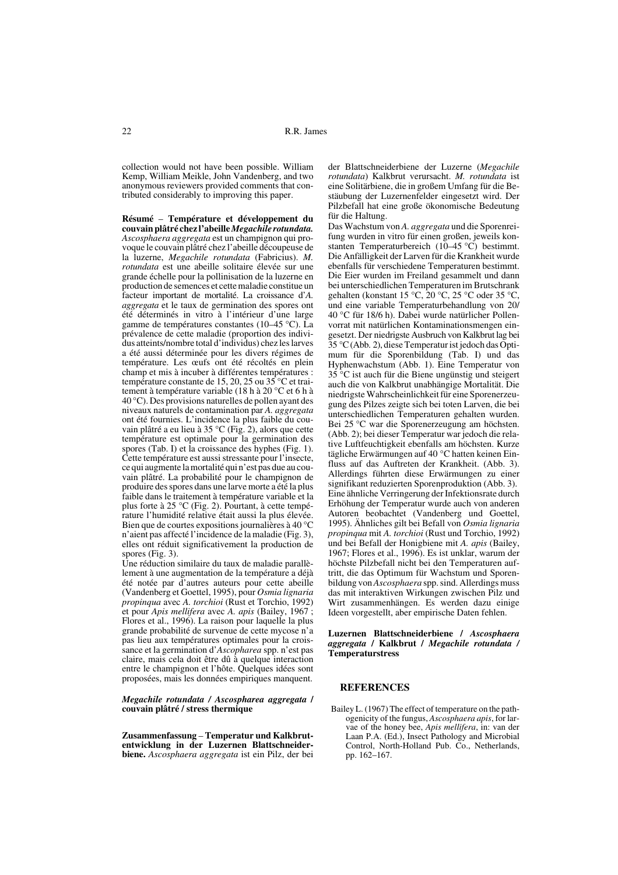collection would not have been possible. William Kemp, William Meikle, John Vandenberg, and two anonymous reviewers provided comments that contributed considerably to improving this paper.

**Résumé** – **Température et développement du couvain plâtré chez l'abeille** *Megachile rotundata. Ascosphaera aggregata* est un champignon qui provoque le couvain plâtré chez l'abeille découpeuse de la luzerne, *Megachile rotundata* (Fabricius). *M. rotundata* est une abeille solitaire élevée sur une grande échelle pour la pollinisation de la luzerne en production de semences et cette maladie constitue un facteur important de mortalité. La croissance d'*A. aggregata* et le taux de germination des spores ont été déterminés in vitro à l'intérieur d'une large gamme de températures constantes (10–45 °C). La prévalence de cette maladie (proportion des individus atteints/nombre total d'individus) chez les larves a été aussi déterminée pour les divers régimes de température. Les œufs ont été récoltés en plein champ et mis à incuber à différentes températures : température constante de 15, 20, 25 ou 35 °C et traitement à température variable (18 h à 20 °C et 6 h à 40 °C). Des provisions naturelles de pollen ayant des niveaux naturels de contamination par *A. aggregata* ont été fournies. L'incidence la plus faible du couvain plâtré a eu lieu à 35 °C (Fig. 2), alors que cette température est optimale pour la germination des spores (Tab. I) et la croissance des hyphes (Fig. 1). Cette température est aussi stressante pour l'insecte, ce qui augmente la mortalité qui n'est pas due au couvain plâtré. La probabilité pour le champignon de produire des spores dans une larve morte a été la plus faible dans le traitement à température variable et la plus forte à 25 °C (Fig. 2). Pourtant, à cette température l'humidité relative était aussi la plus élevée. Bien que de courtes expositions journalières à 40 °C n'aient pas affecté l'incidence de la maladie (Fig. 3), elles ont réduit significativement la production de spores (Fig. 3).

Une réduction similaire du taux de maladie parallèlement à une augmentation de la température a déjà été notée par d'autres auteurs pour cette abeille (Vandenberg et Goettel, 1995), pour *Osmia lignaria propinqua* avec *A. torchioi* (Rust et Torchio, 1992) et pour *Apis mellifera* avec *A. apis* (Bailey, 1967 ; Flores et al., 1996). La raison pour laquelle la plus grande probabilité de survenue de cette mycose n'a pas lieu aux températures optimales pour la croissance et la germination d'*Ascopharea* spp. n'est pas claire, mais cela doit être dû à quelque interaction entre le champignon et l'hôte. Quelques idées sont proposées, mais les données empiriques manquent.

#### *Megachile rotundata / Ascospharea aggregata* **/ couvain plâtré / stress thermique**

**Zusammenfassung** – **Temperatur und Kalkbrutentwicklung in der Luzernen Blattschneiderbiene.** *Ascosphaera aggregata* ist ein Pilz, der bei der Blattschneiderbiene der Luzerne (*Megachile rotundata*) Kalkbrut verursacht. *M. rotundata* ist eine Solitärbiene, die in großem Umfang für die Bestäubung der Luzernenfelder eingesetzt wird. Der Pilzbefall hat eine große ökonomische Bedeutung für die Haltung.

Das Wachstum von *A. aggregata* und die Sporenreifung wurden in vitro für einen großen, jeweils konstanten Temperaturbereich (10–45 °C) bestimmt. Die Anfälligkeit der Larven für die Krankheit wurde ebenfalls für verschiedene Temperaturen bestimmt. Die Eier wurden im Freiland gesammelt und dann bei unterschiedlichen Temperaturen im Brutschrank gehalten (konstant 15 °C, 20 °C, 25 °C oder 35 °C, und eine variable Temperaturbehandlung von 20/ 40 °C für 18/6 h). Dabei wurde natürlicher Pollenvorrat mit natürlichen Kontaminationsmengen eingesetzt. Der niedrigste Ausbruch von Kalkbrut lag bei 35 °C (Abb. 2), diese Temperatur ist jedoch das Optimum für die Sporenbildung (Tab. I) und das Hyphenwachstum (Abb. 1). Eine Temperatur von 35 °C ist auch für die Biene ungünstig und steigert auch die von Kalkbrut unabhängige Mortalität. Die niedrigste Wahrscheinlichkeit für eine Sporenerzeugung des Pilzes zeigte sich bei toten Larven, die bei unterschiedlichen Temperaturen gehalten wurden. Bei 25 °C war die Sporenerzeugung am höchsten. (Abb. 2); bei dieser Temperatur war jedoch die relative Luftfeuchtigkeit ebenfalls am höchsten. Kurze tägliche Erwärmungen auf 40 °C hatten keinen Einfluss auf das Auftreten der Krankheit. (Abb. 3). Allerdings führten diese Erwärmungen zu einer signifikant reduzierten Sporenproduktion (Abb. 3). Eine ähnliche Verringerung der Infektionsrate durch Erhöhung der Temperatur wurde auch von anderen Autoren beobachtet (Vandenberg und Goettel, 1995). Ähnliches gilt bei Befall von *Osmia lignaria propinqua* mit *A. torchioi* (Rust und Torchio, 1992) und bei Befall der Honigbiene mit *A. apis* (Bailey, 1967; Flores et al., 1996). Es ist unklar, warum der höchste Pilzbefall nicht bei den Temperaturen auftritt, die das Optimum für Wachstum und Sporenbildung von *Ascosphaera* spp. sind. Allerdings muss das mit interaktiven Wirkungen zwischen Pilz und Wirt zusammenhängen. Es werden dazu einige Ideen vorgestellt, aber empirische Daten fehlen.

#### **Luzernen Blattschneiderbiene /** *Ascosphaera aggregata* **/ Kalkbrut /** *Megachile rotundata /* **Temperaturstress**

#### **REFERENCES**

Bailey L. (1967) The effect of temperature on the pathogenicity of the fungus, *Ascosphaera apis*, for larvae of the honey bee, *Apis mellifera*, in: van der Laan P.A. (Ed.), Insect Pathology and Microbial Control, North-Holland Pub. Co., Netherlands, pp. 162–167.